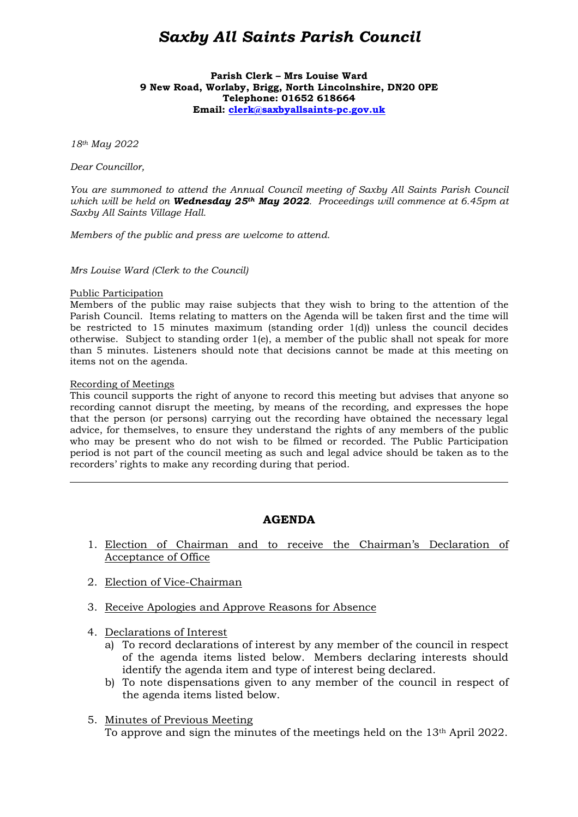# *Saxby All Saints Parish Council*

**Parish Clerk – Mrs Louise Ward 9 New Road, Worlaby, Brigg, North Lincolnshire, DN20 0PE Telephone: 01652 618664 Email: clerk@saxbyallsaints-pc.gov.uk**

*18th May 2022* 

*Dear Councillor,* 

*You are summoned to attend the Annual Council meeting of Saxby All Saints Parish Council which will be held on Wednesday 25th May 2022. Proceedings will commence at 6.45pm at Saxby All Saints Village Hall.* 

*Members of the public and press are welcome to attend.* 

*Mrs Louise Ward (Clerk to the Council)* 

#### Public Participation

Members of the public may raise subjects that they wish to bring to the attention of the Parish Council. Items relating to matters on the Agenda will be taken first and the time will be restricted to 15 minutes maximum (standing order  $1(d)$ ) unless the council decides otherwise. Subject to standing order 1(e), a member of the public shall not speak for more than 5 minutes. Listeners should note that decisions cannot be made at this meeting on items not on the agenda.

#### Recording of Meetings

 $\overline{a}$ 

This council supports the right of anyone to record this meeting but advises that anyone so recording cannot disrupt the meeting, by means of the recording, and expresses the hope that the person (or persons) carrying out the recording have obtained the necessary legal advice, for themselves, to ensure they understand the rights of any members of the public who may be present who do not wish to be filmed or recorded. The Public Participation period is not part of the council meeting as such and legal advice should be taken as to the recorders' rights to make any recording during that period.

#### **AGENDA**

- 1. Election of Chairman and to receive the Chairman's Declaration of Acceptance of Office
- 2. Election of Vice-Chairman
- 3. Receive Apologies and Approve Reasons for Absence
- 4. Declarations of Interest
	- a) To record declarations of interest by any member of the council in respect of the agenda items listed below. Members declaring interests should identify the agenda item and type of interest being declared.
	- b) To note dispensations given to any member of the council in respect of the agenda items listed below.
- 5. Minutes of Previous Meeting To approve and sign the minutes of the meetings held on the 13th April 2022.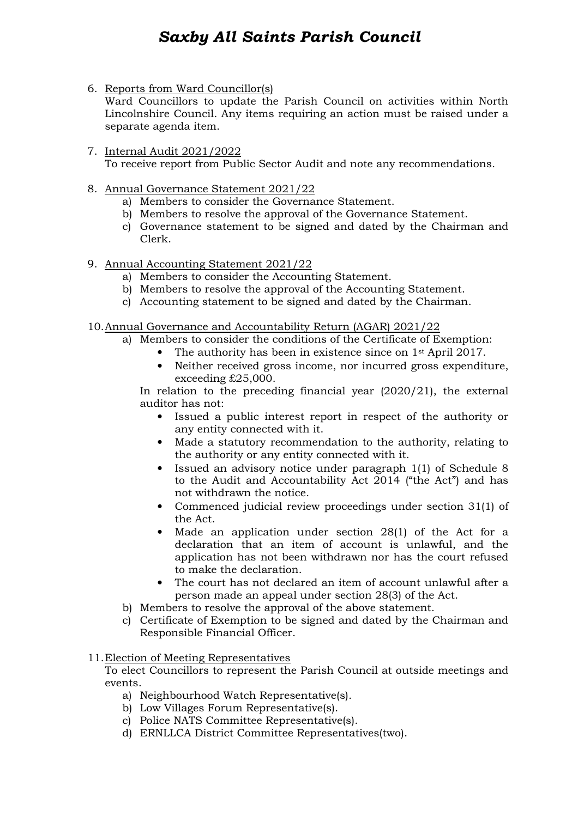# *Saxby All Saints Parish Council*

6. Reports from Ward Councillor(s)

Ward Councillors to update the Parish Council on activities within North Lincolnshire Council. Any items requiring an action must be raised under a separate agenda item.

- 7. Internal Audit 2021/2022 To receive report from Public Sector Audit and note any recommendations.
- 8. Annual Governance Statement 2021/22
	- a) Members to consider the Governance Statement.
	- b) Members to resolve the approval of the Governance Statement.
	- c) Governance statement to be signed and dated by the Chairman and Clerk.
- 9. Annual Accounting Statement 2021/22
	- a) Members to consider the Accounting Statement.
	- b) Members to resolve the approval of the Accounting Statement.
	- c) Accounting statement to be signed and dated by the Chairman.
- 10.Annual Governance and Accountability Return (AGAR) 2021/22
	- a) Members to consider the conditions of the Certificate of Exemption:
		- The authority has been in existence since on 1<sup>st</sup> April 2017.
		- Neither received gross income, nor incurred gross expenditure, exceeding £25,000.

In relation to the preceding financial year (2020/21), the external auditor has not:

- Issued a public interest report in respect of the authority or any entity connected with it.
- Made a statutory recommendation to the authority, relating to the authority or any entity connected with it.
- Issued an advisory notice under paragraph 1(1) of Schedule 8 to the Audit and Accountability Act 2014 ("the Act") and has not withdrawn the notice.
- Commenced judicial review proceedings under section 31(1) of the Act.
- Made an application under section 28(1) of the Act for a declaration that an item of account is unlawful, and the application has not been withdrawn nor has the court refused to make the declaration.
- The court has not declared an item of account unlawful after a person made an appeal under section 28(3) of the Act.
- b) Members to resolve the approval of the above statement.
- c) Certificate of Exemption to be signed and dated by the Chairman and Responsible Financial Officer.

## 11.Election of Meeting Representatives

To elect Councillors to represent the Parish Council at outside meetings and events.

- a) Neighbourhood Watch Representative(s).
- b) Low Villages Forum Representative(s).
- c) Police NATS Committee Representative(s).
- d) ERNLLCA District Committee Representatives(two).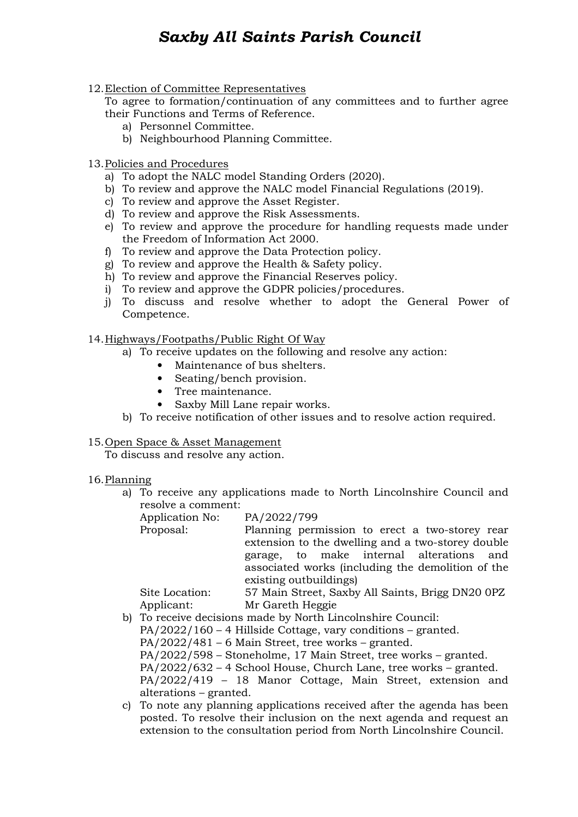# *Saxby All Saints Parish Council*

### 12.Election of Committee Representatives

To agree to formation/continuation of any committees and to further agree their Functions and Terms of Reference.

- a) Personnel Committee.
- b) Neighbourhood Planning Committee.

## 13.Policies and Procedures

- a) To adopt the NALC model Standing Orders (2020).
- b) To review and approve the NALC model Financial Regulations (2019).
- c) To review and approve the Asset Register.
- d) To review and approve the Risk Assessments.
- e) To review and approve the procedure for handling requests made under the Freedom of Information Act 2000.
- f) To review and approve the Data Protection policy.
- g) To review and approve the Health & Safety policy.
- h) To review and approve the Financial Reserves policy.
- i) To review and approve the GDPR policies/procedures.
- j) To discuss and resolve whether to adopt the General Power of Competence.

#### 14.Highways/Footpaths/Public Right Of Way

- a) To receive updates on the following and resolve any action:
	- Maintenance of bus shelters.
	- Seating/bench provision.
	- Tree maintenance.
	- Saxby Mill Lane repair works.
- b) To receive notification of other issues and to resolve action required.

## 15.Open Space & Asset Management

To discuss and resolve any action.

#### 16.Planning

- a) To receive any applications made to North Lincolnshire Council and resolve a comment:
	- Application No: PA/2022/799

Proposal: Planning permission to erect a two-storey rear extension to the dwelling and a two-storey double garage, to make internal alterations and associated works (including the demolition of the existing outbuildings)

Site Location: 57 Main Street, Saxby All Saints, Brigg DN20 0PZ Applicant: Mr Gareth Heggie

b) To receive decisions made by North Lincolnshire Council:

PA/2022/160 – 4 Hillside Cottage, vary conditions – granted.

PA/2022/481 – 6 Main Street, tree works – granted.

PA/2022/598 – Stoneholme, 17 Main Street, tree works – granted.

PA/2022/632 – 4 School House, Church Lane, tree works – granted.

PA/2022/419 – 18 Manor Cottage, Main Street, extension and alterations – granted.

c) To note any planning applications received after the agenda has been posted. To resolve their inclusion on the next agenda and request an extension to the consultation period from North Lincolnshire Council.